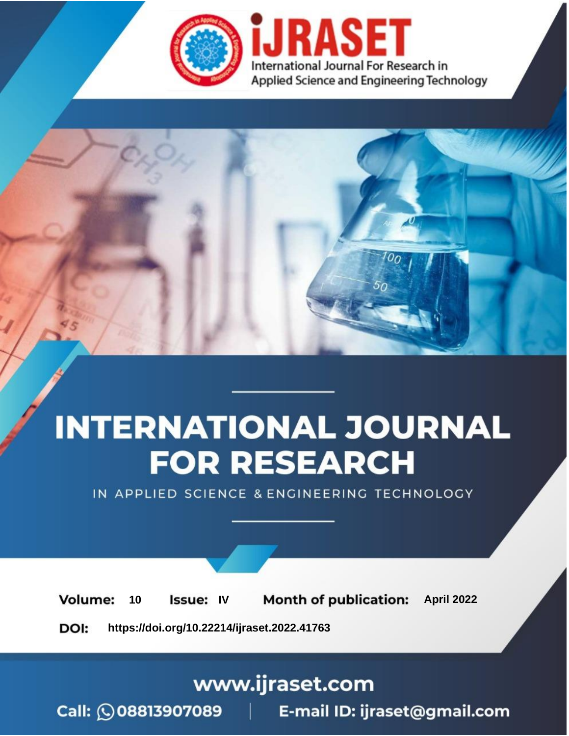

# **INTERNATIONAL JOURNAL FOR RESEARCH**

IN APPLIED SCIENCE & ENGINEERING TECHNOLOGY

10 **Issue: IV Month of publication:** April 2022 **Volume:** 

**https://doi.org/10.22214/ijraset.2022.41763**DOI:

www.ijraset.com

Call: 008813907089 | E-mail ID: ijraset@gmail.com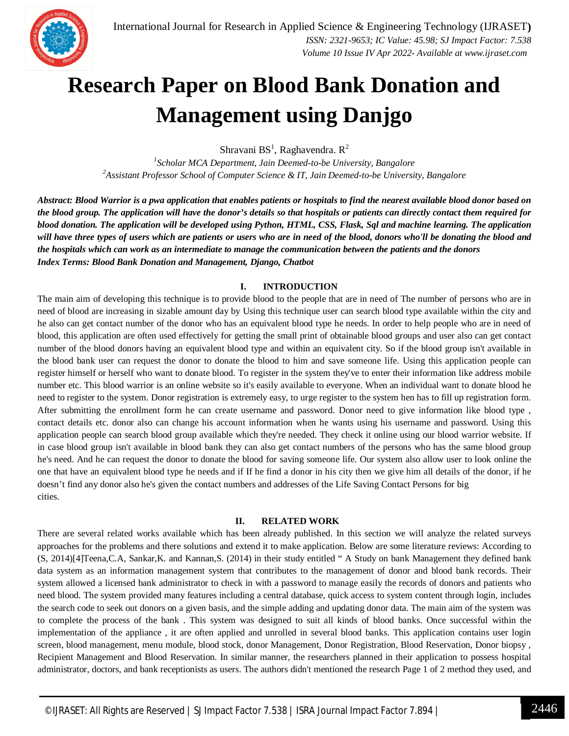

### **Research Paper on Blood Bank Donation and Management using Danjgo**

Shravani BS<sup>1</sup>, Raghavendra. R<sup>2</sup>

*1 Scholar MCA Department, Jain Deemed-to-be University, Bangalore 2 Assistant Professor School of Computer Science & IT, Jain Deemed-to-be University, Bangalore*

Abstract: Blood Warrior is a pwa application that enables patients or hospitals to find the nearest available blood donor based on the blood group. The application will have the donor's details so that hospitals or patients can directly contact them required for blood donation. The application will be developed using Python, HTML, CSS, Flask, Sql and machine learning. The application will have three types of users which are patients or users who are in need of the blood, donors who'll be donating the blood and the hospitals which can work as an intermediate to manage the communication between the patients and the donors *Index Terms: Blood Bank Donation and Management, Django, Chatbot*

#### **I. INTRODUCTION**

The main aim of developing this technique is to provide blood to the people that are in need of The number of persons who are in need of blood are increasing in sizable amount day by Using this technique user can search blood type available within the city and he also can get contact number of the donor who has an equivalent blood type he needs. In order to help people who are in need of blood, this application are often used effectively for getting the small print of obtainable blood groups and user also can get contact number of the blood donors having an equivalent blood type and within an equivalent city. So if the blood group isn't available in the blood bank user can request the donor to donate the blood to him and save someone life. Using this application people can register himself or herself who want to donate blood. To register in the system they've to enter their information like address mobile number etc. This blood warrior is an online website so it's easily available to everyone. When an individual want to donate blood he need to register to the system. Donor registration is extremely easy, to urge register to the system hen has to fill up registration form. After submitting the enrollment form he can create username and password. Donor need to give information like blood type , contact details etc. donor also can change his account information when he wants using his username and password. Using this application people can search blood group available which they're needed. They check it online using our blood warrior website. If in case blood group isn't available in blood bank they can also get contact numbers of the persons who has the same blood group he's need. And he can request the donor to donate the blood for saving someone life. Our system also allow user to look online the one that have an equivalent blood type he needs and if If he find a donor in his city then we give him all details of the donor, if he doesn't find any donor also he's given the contact numbers and addresses of the Life Saving Contact Persons for big cities.

#### **II. RELATED WORK**

There are several related works available which has been already published. In this section we will analyze the related surveys approaches for the problems and there solutions and extend it to make application. Below are some literature reviews: According to (S, 2014)[4]Teena,C.A, Sankar,K. and Kannan,S. (2014) in their study entitled " A Study on bank Management they defined bank data system as an information management system that contributes to the management of donor and blood bank records. Their system allowed a licensed bank administrator to check in with a password to manage easily the records of donors and patients who need blood. The system provided many features including a central database, quick access to system content through login, includes the search code to seek out donors on a given basis, and the simple adding and updating donor data. The main aim of the system was to complete the process of the bank . This system was designed to suit all kinds of blood banks. Once successful within the implementation of the appliance , it are often applied and unrolled in several blood banks. This application contains user login screen, blood management, menu module, blood stock, donor Management, Donor Registration, Blood Reservation, Donor biopsy , Recipient Management and Blood Reservation. In similar manner, the researchers planned in their application to possess hospital administrator, doctors, and bank receptionists as users. The authors didn't mentioned the research Page 1 of 2 method they used, and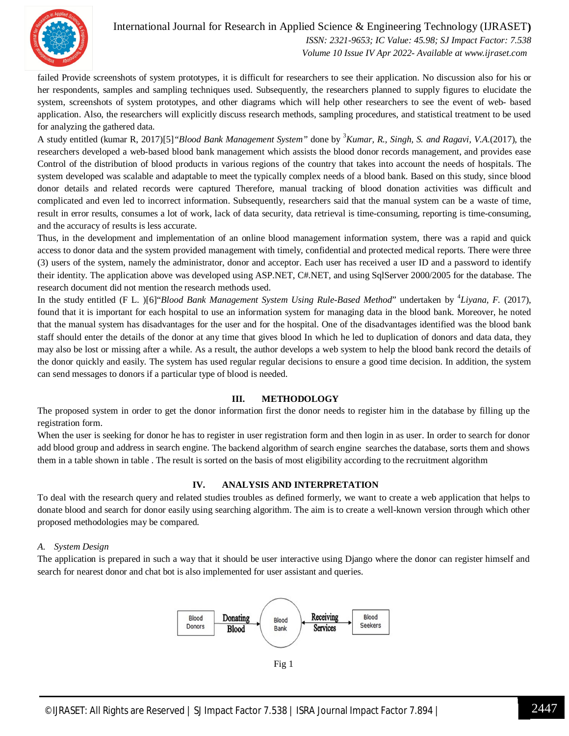

failed Provide screenshots of system prototypes, it is difficult for researchers to see their application. No discussion also for his or her respondents, samples and sampling techniques used. Subsequently, the researchers planned to supply figures to elucidate the system, screenshots of system prototypes, and other diagrams which will help other researchers to see the event of web- based application. Also, the researchers will explicitly discuss research methods, sampling procedures, and statistical treatment to be used for analyzing the gathered data.

A study entitled (kumar R, 2017)[5]*"Blood Bank Management System"* done by <sup>3</sup>*Kumar, R., Singh, S. and Ragavi, V.A.*(2017), the researchers developed a web-based blood bank management which assists the blood donor records management, and provides ease Control of the distribution of blood products in various regions of the country that takes into account the needs of hospitals. The system developed was scalable and adaptable to meet the typically complex needs of a blood bank. Based on this study, since blood donor details and related records were captured Therefore, manual tracking of blood donation activities was difficult and complicated and even led to incorrect information. Subsequently, researchers said that the manual system can be a waste of time, result in error results, consumes a lot of work, lack of data security, data retrieval is time-consuming, reporting is time-consuming, and the accuracy of results is less accurate.

Thus, in the development and implementation of an online blood management information system, there was a rapid and quick access to donor data and the system provided management with timely, confidential and protected medical reports. There were three (3) users of the system, namely the administrator, donor and acceptor. Each user has received a user ID and a password to identify their identity. The application above was developed using ASP.NET, C#.NET, and using SqlServer 2000/2005 for the database. The research document did not mention the research methods used.

In the study entitled (F L. )[6]"Blood Bank Management System Using Rule-Based Method" undertaken by <sup>4</sup>Liyana, F. (2017), found that it is important for each hospital to use an information system for managing data in the blood bank. Moreover, he noted that the manual system has disadvantages for the user and for the hospital. One of the disadvantages identified was the blood bank staff should enter the details of the donor at any time that gives blood In which he led to duplication of donors and data data, they may also be lost or missing after a while. As a result, the author develops a web system to help the blood bank record the details of the donor quickly and easily. The system has used regular regular decisions to ensure a good time decision. In addition, the system can send messages to donors if a particular type of blood is needed.

#### **III. METHODOLOGY**

The proposed system in order to get the donor information first the donor needs to register him in the database by filling up the registration form.

When the user is seeking for donor he has to register in user registration form and then login in as user. In order to search for donor add blood group and address in search engine. The backend algorithm of search engine searches the database, sorts them and shows them in a table shown in table . The result is sorted on the basis of most eligibility according to the recruitment algorithm

#### **IV. ANALYSIS AND INTERPRETATION**

To deal with the research query and related studies troubles as defined formerly, we want to create a web application that helps to donate blood and search for donor easily using searching algorithm. The aim is to create a well-known version through which other proposed methodologies may be compared.

#### *A. System Design*

The application is prepared in such a way that it should be user interactive using Django where the donor can register himself and search for nearest donor and chat bot is also implemented for user assistant and queries.



Fig 1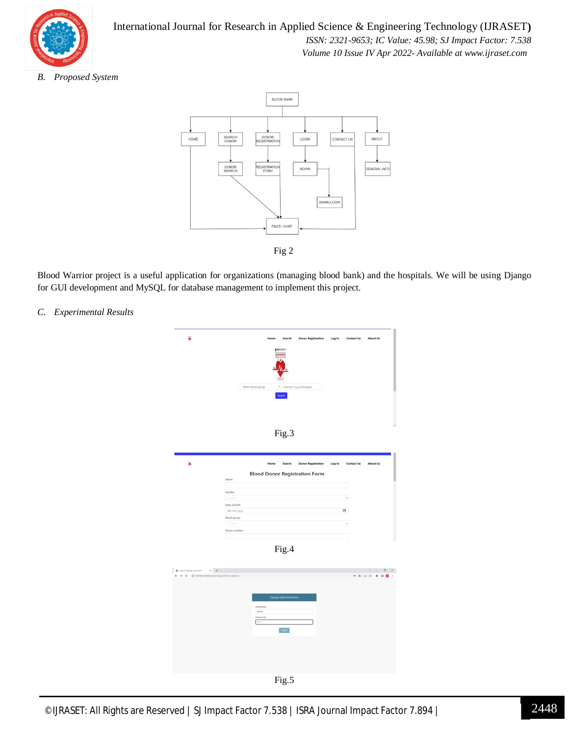

*B. Proposed System*



Blood Warrior project is a useful application for organizations (managing blood bank) and the hospitals. We will be using Django for GUI development and MySQL for database management to implement this project.

*C. Experimental Results*

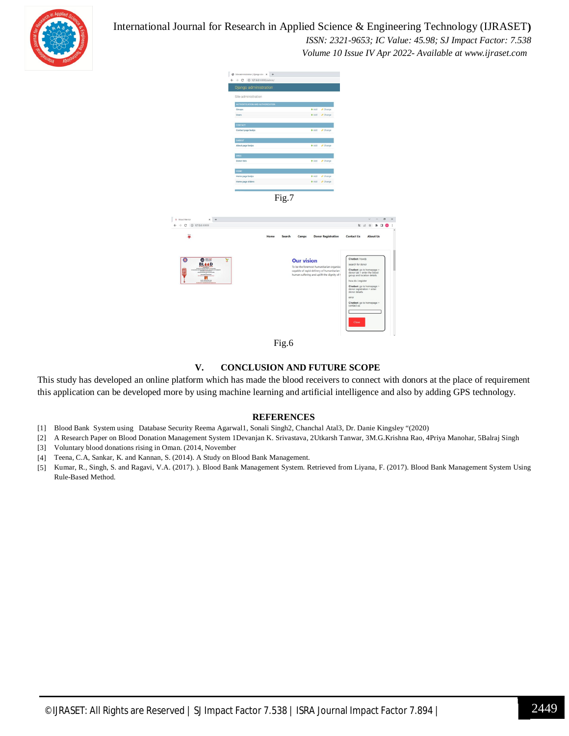

#### International Journal for Research in Applied Science & Engineering Technology (IJRASET**)**

 *ISSN: 2321-9653; IC Value: 45.98; SJ Impact Factor: 7.538 Volume 10 Issue IV Apr 2022- Available at www.ijraset.com*





Fig.6

#### **V. CONCLUSION AND FUTURE SCOPE**

This study has developed an online platform which has made the blood receivers to connect with donors at the place of requirement this application can be developed more by using machine learning and artificial intelligence and also by adding GPS technology.

#### **REFERENCES**

- [1] Blood Bank System using Database Security Reema Agarwal1, Sonali Singh2, Chanchal Atal3, Dr. Danie Kingsley "(2020)
- [2] A Research Paper on Blood Donation Management System 1Devanjan K. Srivastava, 2Utkarsh Tanwar, 3M.G.Krishna Rao, 4Priya Manohar, 5Balraj Singh
- [3] Voluntary blood donations rising in Oman. (2014, November
- [4] Teena, C.A, Sankar, K. and Kannan, S. (2014). A Study on Blood Bank Management.
- [5] Kumar, R., Singh, S. and Ragavi, V.A. (2017). ). Blood Bank Management System. Retrieved from Liyana, F. (2017). Blood Bank Management System Using Rule-Based Method.